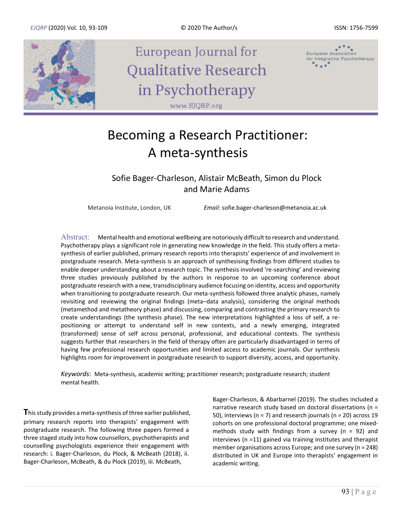

European Journal for Qualitative Research in Psychotherapy www.EJQRP.org



# Becoming a Research Practitioner: A meta-synthesis

Sofie Bager-Charleson, Alistair McBeath, Simon du Plock and Marie Adams

Metanoia Institute, London, UK *Email*: sofie.bager-charleson@metanoia.ac.uk

Abstract: Mental health and emotional wellbeing are notoriously difficult to research and understand. Psychotherapy plays a significant role in generating new knowledge in the field. This study offers a metasynthesis of earlier published, primary research reports into therapists' experience of and involvement in postgraduate research. Meta-synthesis is an approach of synthesising findings from different studies to enable deeper understanding about a research topic. The synthesis involved 're-searching' and reviewing three studies previously published by the authors in response to an upcoming conference about postgraduate research with a new, transdisciplinary audience focusing on identity, access and opportunity when transitioning to postgraduate research. Our meta-synthesis followed three analytic phases, namely revisiting and reviewing the original findings (meta–data analysis), considering the original methods (metamethod and metatheory phase) and discussing, comparing and contrasting the primary research to create understandings (the synthesis phase). The new interpretations highlighted a loss of self, a repositioning or attempt to understand self in new contexts, and a newly emerging, integrated (transformed) sense of self across personal, professional, and educational contexts. The synthesis suggests further that researchers in the field of therapy often are particularly disadvantaged in terms of having few professional research opportunities and limited access to academic journals. Our synthesis highlights room for improvement in postgraduate research to support diversity, access, and opportunity.

*Keywords*: Meta-synthesis, academic writing; practitioner research; postgraduate research; student mental health.

**T**his study provides a meta-synthesis of three earlier published, primary research reports into therapists' engagement with postgraduate research. The following three papers formed a three staged study into how counsellors, psychotherapists and counselling psychologists experience their engagement with research: i. Bager-Charleson, du Plock, & McBeath (2018), ii. Bager-Charleson, McBeath, & du Plock (2019), iii. McBeath,

Bager-Charleson, & Abarbarnel (2019). The studies included a narrative research study based on doctoral dissertations (n = 50), interviews (n = 7) and research journals (n = 20) across 19 cohorts on one professional doctoral programme; one mixedmethods study with findings from a survey ( $n = 92$ ) and interviews (n =11) gained via training institutes and therapist member organisations across Europe; and one survey (n = 248) distributed in UK and Europe into therapists' engagement in academic writing.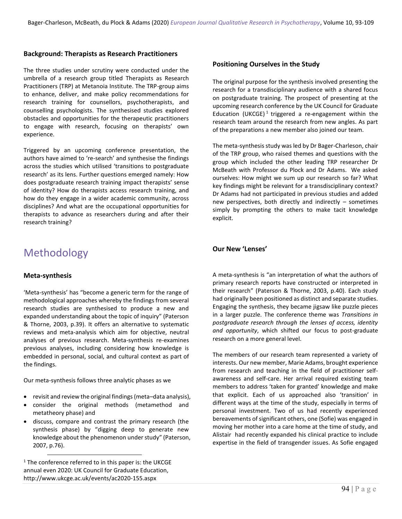#### **Background: Therapists as Research Practitioners**

The three studies under scrutiny were conducted under the umbrella of a research group titled Therapists as Research Practitioners (TRP) at Metanoia Institute. The TRP-group aims to enhance, deliver, and make policy recommendations for research training for counsellors, psychotherapists, and counselling psychologists. The synthesised studies explored obstacles and opportunities for the therapeutic practitioners to engage with research, focusing on therapists' own experience.

Triggered by an upcoming conference presentation, the authors have aimed to 're-search' and synthesise the findings across the studies which utilised 'transitions to postgraduate research' as its lens. Further questions emerged namely: How does postgraduate research training impact therapists' sense of identity? How do therapists access research training, and how do they engage in a wider academic community, across disciplines? And what are the occupational opportunities for therapists to advance as researchers during and after their research training?

## Methodology

### **Meta-synthesis**

'Meta-synthesis' has "become a generic term for the range of methodological approaches whereby the findings from several research studies are synthesised to produce a new and expanded understanding about the topic of inquiry" (Paterson & Thorne, 2003, p.39). It offers an alternative to systematic reviews and meta-analysis which aim for objective, neutral analyses of previous research. Meta-synthesis re-examines previous analyses, including considering how knowledge is embedded in personal, social, and cultural context as part of the findings.

Our meta-synthesis follows three analytic phases as we

- revisit and review the original findings (meta–data analysis),
- consider the original methods (metamethod and metatheory phase) and
- discuss, compare and contrast the primary research (the synthesis phase) by "digging deep to generate new knowledge about the phenomenon under study" (Paterson, 2007, p.76).

 $1$  The conference referred to in this paper is: the UKCGE annual even 2020: UK Council for Graduate Education, http://www.ukcge.ac.uk/events/ac2020-155.aspx

#### **Positioning Ourselves in the Study**

The original purpose for the synthesis involved presenting the research for a transdisciplinary audience with a shared focus on postgraduate training. The prospect of presenting at the upcoming research conference by the UK Council for Graduate Education (UKCGE)<sup>1</sup> triggered a re-engagement within the research team around the research from new angles. As part of the preparations a new member also joined our team.

The meta-synthesis study was led by Dr Bager-Charleson, chair of the TRP group, who raised themes and questions with the group which included the other leading TRP researcher Dr McBeath with Professor du Plock and Dr Adams. We asked ourselves: How might we sum up our research so far? What key findings might be relevant for a transdisciplinary context? Dr Adams had not participated in previous studies and added new perspectives, both directly and indirectly – sometimes simply by prompting the others to make tacit knowledge explicit.

### **Our New 'Lenses'**

A meta-synthesis is "an interpretation of what the authors of primary research reports have constructed or interpreted in their research" (Paterson & Thorne, 2003, p.40). Each study had originally been positioned as distinct and separate studies. Engaging the synthesis, they became jigsaw like puzzle pieces in a larger puzzle. The conference theme was *Transitions in postgraduate research through the lenses of access, identity and opportunity*, which shifted our focus to post-graduate research on a more general level.

The members of our research team represented a variety of interests. Our new member, Marie Adams, brought experience from research and teaching in the field of practitioner selfawareness and self-care. Her arrival required existing team members to address 'taken for granted' knowledge and make that explicit. Each of us approached also 'transition' in different ways at the time of the study, especially in terms of personal investment. Two of us had recently experienced bereavements of significant others, one (Sofie) was engaged in moving her mother into a care home at the time of study, and Alistair had recently expanded his clinical practice to include expertise in the field of transgender issues. As Sofie engaged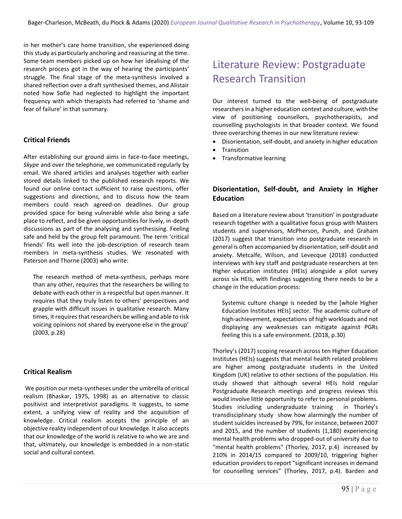in her mother's care home transition, she experienced doing this study as particularly anchoring and reassuring at the time. Some team members picked up on how her idealising of the research process got in the way of hearing the participants' struggle. The final stage of the meta-synthesis involved a shared reflection over a draft synthesised themes, and Alistair noted how Sofie had neglected to highlight the important frequency with which therapists had referred to 'shame and fear of failure' in that summary.

### **Critical Friends**

After establishing our ground aims in face-to-face meetings, *Skype* and over the telephone, we communicated regularly by email. We shared articles and analyses together with earlier stored details linked to the published research reports. We found our online contact sufficient to raise questions, offer suggestions and directions, and to discuss how the team members could reach agreed-on deadlines. Our group provided space for being vulnerable while also being a safe place to reflect, and be given opportunities for lively, in-depth discussions as part of the analysing and synthesising. Feeling safe and held by the group felt paramount. The term 'critical friends' fits well into the job-description of research team members in meta-synthesis studies. We resonated with Paterson and Thorne (2003) who write:

The research method of meta-synthesis, perhaps more than any other, requires that the researchers be willing to debate with each other in a respectful but open manner. It requires that they truly listen to others' perspectives and grapple with difficult issues in qualitative research. Many times, it requires that researchers be willing and able to risk voicing opinions not shared by everyone else in the group' (2003, p.28)

### **Critical Realism**

We position our meta-syntheses under the umbrella of critical realism (Bhaskar, 1975, 1998) as an alternative to classic positivist and interpretivist paradigms. It suggests, to some extent, a unifying view of reality and the acquisition of knowledge. Critical realism accepts the principle of an objective reality independent of our knowledge. It also accepts that our knowledge of the world is relative to who we are and that, ultimately, our knowledge is embedded in a non-static social and cultural context.

# Literature Review: Postgraduate Research Transition

Our interest turned to the well-being of postgraduate researchers in a higher education context and culture, with the view of positioning counsellors, psychotherapists, and counselling psychologists in that broader context. We found three overarching themes in our new literature review:

- Disorientation, self-doubt, and anxiety in higher education
- Transition
- Transformative learning

### **Disorientation, Self-doubt, and Anxiety in Higher Education**

Based on a literature review about 'transition' in postgraduate research together with a qualitative focus group with Masters students and supervisors, McPherson, Punch, and Graham (2017) suggest that transition into postgraduate research in general is often accompanied by disorientation, self-doubt and anxiety. Metcalfe, Wilson, and Levecque (2018) conducted interviews with key staff and postgraduate researchers at ten Higher education institutes (HEIs) alongside a pilot survey across six HEIs, with findings suggesting there needs to be a change in the education process:

Systemic culture change is needed by the [whole Higher Education Institutes HEIs] sector. The academic culture of high-achievement, expectations of high workloads and not displaying any weaknesses can mitigate against PGRs feeling this is a safe environment. (2018, p.30)

Thorley's (2017) scoping research across ten Higher Education Institutes (HEIs) suggests that mental health related problems are higher among postgraduate students in the United Kingdom (UK) relative to other sections of the population. His study showed that although several HEIs hold regular Postgraduate Research meetings and progress reviews this would involve little opportunity to refer to personal problems. Studies including undergraduate training in Thorley's transdisciplinary study show how alarmingly the number of student suicides increased by 79%, for instance, between 2007 and 2015, and the number of students (1,180) experiencing mental health problems who dropped-out of university due to "mental health problems" (Thorley, 2017, p.4) increased by 210% in 2014/15 compared to 2009/10, triggering higher education providers to report "significant increases in demand for counselling services" (Thorley, 2017, p.4). Barden and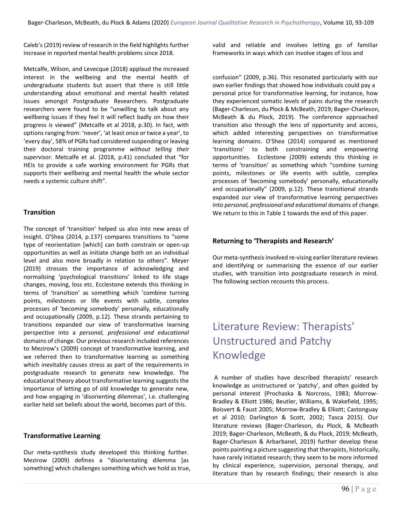Caleb's (2019) review of research in the field highlights further increase in reported mental health problems since 2018.

Metcalfe, Wilson, and Levecque (2018) applaud the increased interest in the wellbeing and the mental health of undergraduate students but assert that there is still little understanding about emotional and mental health related issues amongst Postgraduate Researchers. Postgraduate researchers were found to be "unwilling to talk about any wellbeing issues if they feel it will reflect badly on how their progress is viewed" (Metcalfe et al 2018, p.30). In fact, with options ranging from: 'never', 'at least once or twice a year', to 'every day', 58% of PGRs had considered suspending or leaving their doctoral training programme *without telling their supervisor*. Metcalfe et al. (2018, p.41) concluded that "for HEIs to provide a safe working environment for PGRs that supports their wellbeing and mental health the whole sector needs a systemic culture shift".

### **Transition**

The concept of 'transition' helped us also into new areas of insight. O'Shea (2014, p.137) compares transitions to "some type of reorientation [which] can both constrain or open-up opportunities as well as initiate change both on an individual level and also more broadly in relation to others". Meyer (2019) stresses the importance of acknowledging and normalising 'psychological transitions' linked to life stage changes, moving, loss etc. Ecclestone extends this thinking in terms of 'transition' as something which 'combine turning points, milestones or life events with subtle, complex processes of 'becoming somebody' personally, educationally and occupationally (2009, p.12). These strands pertaining to transitions expanded our view of transformative learning perspective into a *personal, professional and educational* domains of change. Our previous research included references to Mezirow's (2009) concept of transformative learning, and we referred then to transformative learning as something which inevitably causes stress as part of the requirements in postgraduate research to generate new knowledge. The educational theory about transformative learning suggests the importance of letting go of old knowledge to generate new, and how engaging in 'disorienting dilemmas', i.e. challenging earlier held set beliefs about the world, becomes part of this.

### **Transformative Learning**

Our meta-synthesis study developed this thinking further. Mezirow (2009) defines a "disorientating dilemma [as something] which challenges something which we hold as true, valid and reliable and involves letting go of familiar frameworks in ways which can involve stages of loss and

confusion" (2009, p.36). This resonated particularly with our own earlier findings that showed how individuals could pay a personal price for transformative learning, for instance, how they experienced somatic levels of pains during the research (Bager-Charleson, du Plock & McBeath, 2019; Bager-Charleson, McBeath & du Plock, 2019). The conference approached transition also through the lens of opportunity and access, which added interesting perspectives on transformative learning domains. O'Shea (2014) compared as mentioned 'transitions' to both constraining and empowering opportunities. Ecclestone (2009) extends this thinking in terms of 'transition' as something which "combine turning points, milestones or life events with subtle, complex processes of 'becoming somebody' personally, educationally and occupationally" (2009, p.12). These transitional strands expanded our view of transformative learning perspectives into *personal, professional and educational* domains of change. We return to this in Table 1 towards the end of this paper.

### **Returning to 'Therapists and Research'**

Our meta-synthesis involved re-vising earlier literature reviews and identifying or summarising the essence of our earlier studies, with transition into postgraduate research in mind. The following section recounts this process.

# Literature Review: Therapists' Unstructured and Patchy Knowledge

A number of studies have described therapists' research knowledge as unstructured or 'patchy', and often guided by personal interest (Prochaska & Norcross, 1983; Morrow-Bradley & Elliott 1986; Beutler, Williams, & Wakefield, 1995; Boisvert & Faust 2005; Morrow-Bradley & Elliott; Castonguay et al 2010; Darlington & Scott, 2002; Tasca 2015). Our literature reviews (Bager-Charleson, du Plock, & McBeath 2019; Bager-Charleson, McBeath, & du Plock, 2019; McBeath, Bager-Charleson & Arbarbanel, 2019) further develop these points painting a picture suggesting that therapists, historically, have rarely initiated research; they seem to be more informed by clinical experience, supervision, personal therapy, and literature than by research findings; their research is also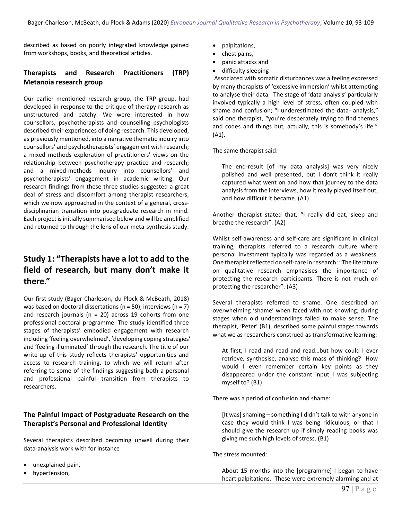described as based on poorly integrated knowledge gained from workshops, books, and theoretical articles.

### **Therapists and Research Practitioners (TRP) Metanoia research group**

Our earlier mentioned research group, the TRP group, had developed in response to the critique of therapy research as unstructured and patchy. We were interested in how counsellors, psychotherapists and counselling psychologists described their experiences of doing research. This developed, as previously mentioned, into a narrative thematic inquiry into counsellors' and psychotherapists' engagement with research; a mixed methods exploration of practitioners' views on the relationship between psychotherapy practice and research; and a mixed-methods inquiry into counsellors' and psychotherapists' engagement in academic writing. Our research findings from these three studies suggested a great deal of stress and discomfort among therapist researchers, which we now approached in the context of a general, crossdisciplinarian transition into postgraduate research in mind. Each project is initially summarised below and will be amplified and returned to through the lens of our meta-synthesis study.

### **Study 1: "Therapists have a lot to add to the field of research, but many don't make it there."**

Our first study (Bager-Charleson, du Plock & McBeath, 2018) was based on doctoral dissertations ( $n = 50$ ), interviews ( $n = 7$ ) and research journals ( $n = 20$ ) across 19 cohorts from one professional doctoral programme. The study identified three stages of therapists' embodied engagement with research including 'feeling overwhelmed', 'developing coping strategies' and 'feeling illuminated' through the research. The title of our write-up of this study reflects therapists' opportunities and access to research training, to which we will return after referring to some of the findings suggesting both a personal and professional painful transition from therapists to researchers.

### **The Painful Impact of Postgraduate Research on the Therapist's Personal and Professional Identity**

Several therapists described becoming unwell during their data-analysis work with for instance

- unexplained pain,
- hypertension,
- palpitations,
- chest pains,
- panic attacks and
- difficulty sleeping

Associated with somatic disturbances was a feeling expressed by many therapists of 'excessive immersion' whilst attempting to analyse their data. The stage of 'data analysis' particularly involved typically a high level of stress, often coupled with shame and confusion; "I underestimated the data- analysis," said one therapist, "you're desperately trying to find themes and codes and things but, actually, this is somebody's life." (A1).

The same therapist said:

The end-result [of my data analysis] was very nicely polished and well presented, but I don't think it really captured what went on and how that journey to the data analysis from the interviews, how it really played itself out, and how difficult it became. (A1)

Another therapist stated that, "I really did eat, sleep and breathe the research". (A2)

Whilst self-awareness and self-care are significant in clinical training, therapists referred to a research culture where personal investment typically was regarded as a weakness. One therapist reflected on self-care in research: "The literature on qualitative research emphasises the importance of protecting the research participants. There is not much on protecting the researcher". (A3)

Several therapists referred to shame. One described an overwhelming 'shame' when faced with not knowing; during stages when old understandings failed to make sense. The therapist, 'Peter' (B1), described some painful stages towards what we as researchers construed as transformative learning:

At first, I read and read and read…but how could I ever retrieve, synthesise, analyse this mass of thinking? How would I even remember certain key points as they disappeared under the constant input I was subjecting myself to? (B1)

There was a period of confusion and shame:

[It was] shaming – something I didn't talk to with anyone in case they would think I was being ridiculous, or that I should give the research up if simply reading books was giving me such high levels of stress. **(**B1)

The stress mounted:

About 15 months into the [programme] I began to have heart palpitations. These were extremely alarming and at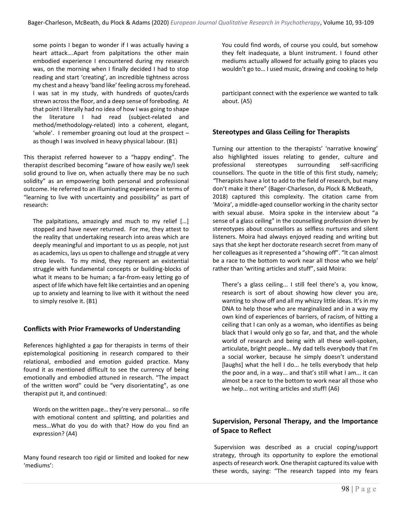some points I began to wonder if I was actually having a heart attack….Apart from palpitations the other main embodied experience I encountered during my research was, on the morning when I finally decided I had to stop reading and start 'creating', an incredible tightness across my chest and a heavy 'band like' feeling across my forehead. I was sat in my study, with hundreds of quotes/cards strewn across the floor, and a deep sense of foreboding. At that point I literally had no idea of how I was going to shape the literature I had read (subject-related and method/methodology-related) into a coherent, elegant, 'whole'. I remember groaning out loud at the prospect – as though I was involved in heavy physical labour. (B1)

This therapist referred however to a "happy ending". The therapist described becoming "aware of how easily we/I seek solid ground to live on, when actually there may be no such solidity" as an empowering both personal and professional outcome. He referred to an illuminating experience in terms of "learning to live with uncertainty and possibility" as part of research:

The palpitations, amazingly and much to my relief […] stopped and have never returned. For me, they attest to the reality that undertaking research into areas which are deeply meaningful and important to us as people, not just as academics, lays us open to challenge and struggle at very deep levels. To my mind, they represent an existential struggle with fundamental concepts or building-blocks of what it means to be human; a far-from-easy letting go of aspect of life which have felt like certainties and an opening up to anxiety and learning to live with it without the need to simply resolve it. (B1)

### **Conflicts with Prior Frameworks of Understanding**

References highlighted a gap for therapists in terms of their epistemological positioning in research compared to their relational, embodied and emotion guided practice. Many found it as mentioned difficult to see the currency of being emotionally and embodied attuned in research. "The impact of the written word" could be "very disorientating", as one therapist put it, and continued:

Words on the written page… they're very personal… so rife with emotional content and splitting, and polarities and mess…What do you do with that? How do you find an expression? (A4)

Many found research too rigid or limited and looked for new 'mediums':

You could find words, of course you could, but somehow they felt inadequate, a blunt instrument. I found other mediums actually allowed for actually going to places you wouldn't go to… I used music, drawing and cooking to help

participant connect with the experience we wanted to talk about. (A5)

### **Stereotypes and Glass Ceiling for Therapists**

Turning our attention to the therapists' 'narrative knowing' also highlighted issues relating to gender, culture and professional stereotypes surrounding self-sacrificing counsellors. The quote in the title of this first study, namely; *"*Therapists have a lot to add to the field of research, but many don't make it there" (Bager-Charleson, du Plock & McBeath, 2018) captured this complexity. The citation came from 'Moira', a middle-aged counsellor working in the charity sector with sexual abuse. Moira spoke in the interview about "a sense of a glass ceiling" in the counselling profession driven by stereotypes about counsellors as selfless nurtures and silent listeners. Moira had always enjoyed reading and writing but says that she kept her doctorate research secret from many of her colleagues as it represented a "showing off". "It can almost be a race to the bottom to work near all those who we help' rather than 'writing articles and stuff", said Moira:

There's a glass ceiling... I still feel there's a, you know, research is sort of about showing how clever you are, wanting to show off and all my whizzy little ideas. It's in my DNA to help those who are marginalized and in a way my own kind of experiences of barriers, of racism, of hitting a ceiling that I can only as a woman, who identifies as being black that I would only go so far, and that, and the whole world of research and being with all these well-spoken, articulate, bright people… My dad tells everybody that I'm a social worker, because he simply doesn't understand [laughs] what the hell I do... he tells everybody that help the poor and, in a way... and that's still what I am... it can almost be a race to the bottom to work near all those who we help... not writing articles and stuff! (A6)

### **Supervision, Personal Therapy, and the Importance of Space to Reflect**

Supervision was described as a crucial coping/support strategy, through its opportunity to explore the emotional aspects of research work. One therapist captured its value with these words, saying: "The research tapped into my fears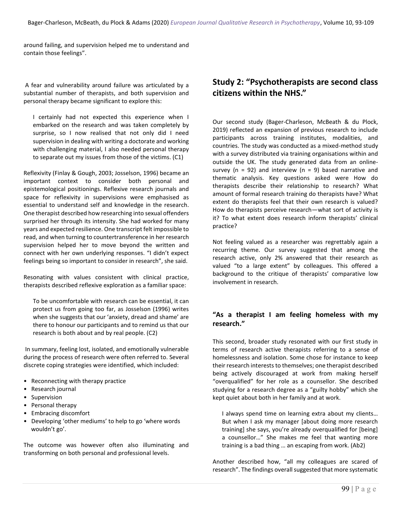around failing, and supervision helped me to understand and contain those feelings".

A fear and vulnerability around failure was articulated by a substantial number of therapists, and both supervision and personal therapy became significant to explore this:

I certainly had not expected this experience when I embarked on the research and was taken completely by surprise, so I now realised that not only did I need supervision in dealing with writing a doctorate and working with challenging material, I also needed personal therapy to separate out my issues from those of the victims. (C1)

Reflexivity (Finlay & Gough, 2003; Josselson, 1996) became an important context to consider both personal and epistemological positionings. Reflexive research journals and space for reflexivity in supervisions were emphasised as essential to understand self and knowledge in the research. One therapist described how researching into sexual offenders surprised her through its intensity. She had worked for many years and expected resilience. One transcript felt impossible to read, and when turning to countertransference in her research supervision helped her to move beyond the written and connect with her own underlying responses. "I didn't expect feelings being so important to consider in research", she said.

Resonating with values consistent with clinical practice, therapists described reflexive exploration as a familiar space:

To be uncomfortable with research can be essential, it can protect us from going too far, as Josselson (1996) writes when she suggests that our 'anxiety, dread and shame' are there to honour our participants and to remind us that our research is both about and by real people. (C2)

In summary, feeling lost, isolated, and emotionally vulnerable during the process of research were often referred to. Several discrete coping strategies were identified, which included:

- Reconnecting with therapy practice
- Research journal
- Supervision
- Personal therapy
- Embracing discomfort
- Developing 'other mediums' to help to go 'where words wouldn't go'.

The outcome was however often also illuminating and transforming on both personal and professional levels.

### **Study 2: "Psychotherapists are second class citizens within the NHS."**

Our second study (Bager-Charleson, McBeath & du Plock, 2019) reflected an expansion of previous research to include participants across training institutes, modalities, and countries. The study was conducted as a mixed-method study with a survey distributed via training organisations within and outside the UK. The study generated data from an onlinesurvey ( $n = 92$ ) and interview ( $n = 9$ ) based narrative and thematic analysis. Key questions asked were How do therapists describe their relationship to research? What amount of formal research training do therapists have? What extent do therapists feel that their own research is valued? How do therapists perceive research—what sort of activity is it? To what extent does research inform therapists' clinical practice?

Not feeling valued as a researcher was regrettably again a recurring theme. Our survey suggested that among the research active, only 2% answered that their research as valued "to a large extent" by colleagues. This offered a background to the critique of therapists' comparative low involvement in research.

### **"As a therapist I am feeling homeless with my research."**

This second, broader study resonated with our first study in terms of research active therapists referring to a sense of homelessness and isolation. Some chose for instance to keep their research interests to themselves; one therapist described being actively discouraged at work from making herself "overqualified" for her role as a counsellor. She described studying for a research degree as a "guilty hobby" which she kept quiet about both in her family and at work.

I always spend time on learning extra about my clients… But when I ask my manager [about doing more research training] she says, you're already overqualified for [being] a counsellor…" She makes me feel that wanting more training is a bad thing … an escaping from work. (Ab2)

Another described how, "all my colleagues are scared of research". The findings overall suggested that more systematic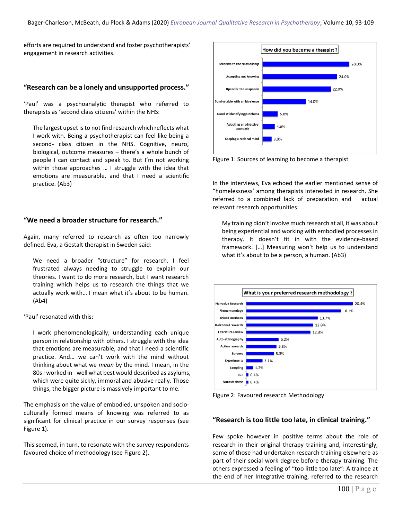efforts are required to understand and foster psychotherapists' engagement in research activities.

### **"Research can be a lonely and unsupported process."**

'Paul' was a psychoanalytic therapist who referred to therapists as 'second class citizens' within the NHS:

The largest upset is to not find research which reflects what I work with. Being a psychotherapist can feel like being a second- class citizen in the NHS. Cognitive, neuro, biological, outcome measures – there's a whole bunch of people I can contact and speak to. But I'm not working within those approaches … I struggle with the idea that emotions are measurable, and that I need a scientific practice. (Ab3)

### **"We need a broader structure for research."**

Again, many referred to research as often too narrowly defined. Eva, a Gestalt therapist in Sweden said:

We need a broader "structure" for research. I feel frustrated always needing to struggle to explain our theories. I want to do more research, but I want research training which helps us to research the things that we actually work with… I mean what it's about to be human. (Ab4)

'Paul' resonated with this:

I work phenomenologically, understanding each unique person in relationship with others. I struggle with the idea that emotions are measurable, and that I need a scientific practice. And… we can't work with the mind without thinking about what we *mean* by the mind. I mean, in the 80s I worked in - well what best would described as asylums, which were quite sickly, immoral and abusive really. Those things, the bigger picture is massively important to me.

The emphasis on the value of embodied, unspoken and socioculturally formed means of knowing was referred to as significant for clinical practice in our survey responses (see Figure 1).

This seemed, in turn, to resonate with the survey respondents favoured choice of methodology (see Figure 2).



Figure 1: Sources of learning to become a therapist

In the interviews, Eva echoed the earlier mentioned sense of "homelessness' among therapists interested in research. She referred to a combined lack of preparation and actual relevant research opportunities:

My training didn't involve much research at all, it was about being experiential and working with embodied processes in therapy. It doesn't fit in with the evidence-based framework. […] Measuring won't help us to understand what it's about to be a person, a human. (Ab3)



Figure 2: Favoured research Methodology

### **"Research is too little too late, in clinical training."**

Few spoke however in positive terms about the role of research in their original therapy training and, interestingly, some of those had undertaken research training elsewhere as part of their social work degree before therapy training. The others expressed a feeling of "too little too late": A trainee at the end of her Integrative training, referred to the research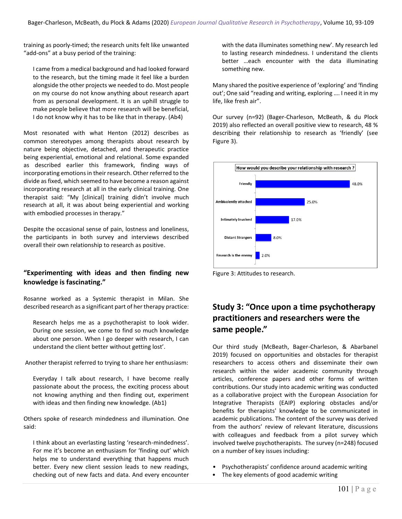training as poorly-timed; the research units felt like unwanted "add-ons" at a busy period of the training:

I came from a medical background and had looked forward to the research, but the timing made it feel like a burden alongside the other projects we needed to do. Most people on my course do not know anything about research apart from as personal development. It is an uphill struggle to make people believe that more research will be beneficial, I do not know why it has to be like that in therapy. (Ab4)

Most resonated with what Henton (2012) describes as common stereotypes among therapists about research by nature being objective, detached, and therapeutic practice being experiential, emotional and relational. Some expanded as described earlier this framework, finding ways of incorporating emotions in their research. Other referred to the divide as fixed, which seemed to have become a reason against incorporating research at all in the early clinical training. One therapist said: "My [clinical] training didn't involve much research at all, it was about being experiential and working with embodied processes in therapy."

Despite the occasional sense of pain, lostness and loneliness, the participants in both survey and interviews described overall their own relationship to research as positive.

### **"Experimenting with ideas and then finding new knowledge is fascinating."**

Rosanne worked as a Systemic therapist in Milan. She described research as a significant part of her therapy practice:

Research helps me as a psychotherapist to look wider. During one session, we come to find so much knowledge about one person. When I go deeper with research, I can understand the client better without getting lost'.

Another therapist referred to trying to share her enthusiasm:

Everyday I talk about research, I have become really passionate about the process, the exciting process about not knowing anything and then finding out, experiment with ideas and then finding new knowledge. (Ab1)

Others spoke of research mindedness and illumination. One said:

I think about an everlasting lasting 'research-mindedness'. For me it's become an enthusiasm for 'finding out' which helps me to understand everything that happens much better. Every new client session leads to new readings, checking out of new facts and data. And every encounter

with the data illuminates something new'. My research led to lasting research mindedness. I understand the clients better …each encounter with the data illuminating something new.

Many shared the positive experience of 'exploring' and 'finding out'; One said "reading and writing, exploring …. I need it in my life, like fresh air".

Our survey (n=92) (Bager-Charleson, McBeath, & du Plock 2019) also reflected an overall positive view to research, 48 % describing their relationship to research as 'friendly' (see Figure 3).



Figure 3: Attitudes to research.

### **Study 3: "Once upon a time psychotherapy practitioners and researchers were the same people."**

Our third study (McBeath, Bager-Charleson, & Abarbanel 2019) focused on opportunities and obstacles for therapist researchers to access others and disseminate their own research within the wider academic community through articles, conference papers and other forms of written contributions. Our study into academic writing was conducted as a collaborative project with the European Association for Integrative Therapists (EAIP) exploring obstacles and/or benefits for therapists' knowledge to be communicated in academic publications. The content of the survey was derived from the authors' review of relevant literature, discussions with colleagues and feedback from a pilot survey which involved twelve psychotherapists. The survey (n=248) focused on a number of key issues including:

- Psychotherapists' confidence around academic writing
- The key elements of good academic writing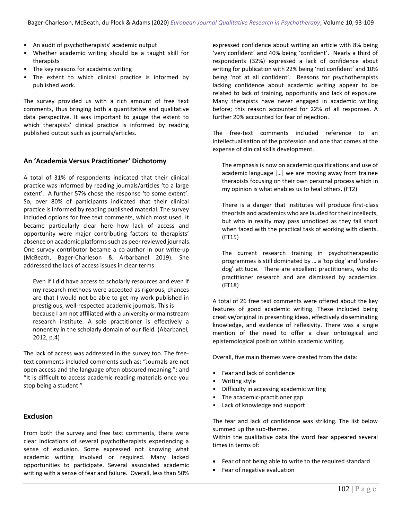- An audit of psychotherapists' academic output
- Whether academic writing should be a taught skill for therapists
- The key reasons for academic writing
- The extent to which clinical practice is informed by published work.

The survey provided us with a rich amount of free text comments, thus bringing both a quantitative and qualitative data perspective. It was important to gauge the extent to which therapists' clinical practice is informed by reading published output such as journals/articles.

### **An 'Academia Versus Practitioner' Dichotomy**

A total of 31% of respondents indicated that their clinical practice was informed by reading journals/articles 'to a large extent'. A further 57% chose the response 'to some extent'. So, over 80% of participants indicated that their clinical practice is informed by reading published material. The survey included options for free text comments, which most used. It became particularly clear here how lack of access and opportunity were major contributing factors to therapists' absence on academic platforms such as peer reviewed journals. One survey contributor became a co-author in our write-up (McBeath, Bager-Charleson & Arbarbanel 2019). She addressed the lack of access issues in clear terms:

Even if I did have access to scholarly resources and even if my research methods were accepted as rigorous, chances are that I would not be able to get my work published in prestigious, well-respected academic journals. This is because I am not affiliated with a university or mainstream research institute. A sole practitioner is effectively a nonentity in the scholarly domain of our field. (Abarbanel, 2012, p.4)

The lack of access was addressed in the survey too. The freetext comments included comments such as: "Journals are not open access and the language often obscured meaning."; and "It is difficult to access academic reading materials once you stop being a student."

### **Exclusion**

From both the survey and free text comments, there were clear indications of several psychotherapists experiencing a sense of exclusion. Some expressed not knowing what academic writing involved or required. Many lacked opportunities to participate. Several associated academic writing with a sense of fear and failure. Overall, less than 50% expressed confidence about writing an article with 8% being 'very confident' and 40% being 'confident'. Nearly a third of respondents (32%) expressed a lack of confidence about writing for publication with 22% being 'not confident' and 10% being 'not at all confident'. Reasons for psychotherapists lacking confidence about academic writing appear to be related to lack of training, opportunity and lack of exposure. Many therapists have never engaged in academic writing before; this reason accounted for 22% of all responses. A further 20% accounted for fear of rejection.

The free-text comments included reference to an intellectualisation of the profession and one that comes at the expense of clinical skills development.

The emphasis is now on academic qualifications and use of academic language […] we are moving away from trainee therapists focusing on their own personal process which in my opinion is what enables us to heal others. (FT2)

There is a danger that institutes will produce first-class theorists and academics who are lauded for their intellects, but who in reality may pass unnoticed as they fall short when faced with the practical task of working with clients. (FT15)

The current research training in psychotherapeutic programmes is still dominated by … a 'top dog' and 'underdog' attitude. There are excellent practitioners, who do practitioner research and are dismissed by academics. (FT18)

A total of 26 free text comments were offered about the key features of good academic writing. These included being creative/original in presenting ideas, effectively disseminating knowledge, and evidence of reflexivity. There was a single mention of the need to offer a clear ontological and epistemological position within academic writing.

Overall, five main themes were created from the data:

- Fear and lack of confidence
- Writing style
- Difficulty in accessing academic writing
- The academic-practitioner gap
- Lack of knowledge and support

The fear and lack of confidence was striking. The list below summed up the sub-themes.

Within the qualitative data the word fear appeared several times in terms of:

- Fear of not being able to write to the required standard
- Fear of negative evaluation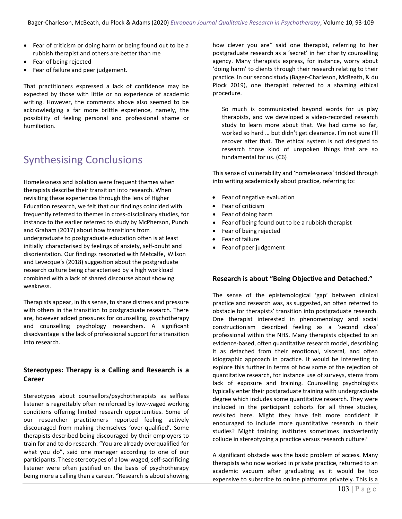- Fear of criticism or doing harm or being found out to be a rubbish therapist and others are better than me
- Fear of being rejected
- Fear of failure and peer judgement.

That practitioners expressed a lack of confidence may be expected by those with little or no experience of academic writing. However, the comments above also seemed to be acknowledging a far more brittle experience, namely, the possibility of feeling personal and professional shame or humiliation.

# Synthesising Conclusions

Homelessness and isolation were frequent themes when therapists describe their transition into research. When revisiting these experiences through the lens of Higher Education research, we felt that our findings coincided with frequently referred to themes in cross-disciplinary studies, for instance to the earlier referred to study by McPherson, Punch and Graham (2017) about how transitions from undergraduate to postgraduate education often is at least initially characterised by feelings of anxiety, self-doubt and disorientation. Our findings resonated with Metcalfe, Wilson and Levecque's (2018) suggestion about the postgraduate research culture being characterised by a high workload combined with a lack of shared discourse about showing weakness.

Therapists appear, in this sense, to share distress and pressure with others in the transition to postgraduate research. There are, however added pressures for counselling, psychotherapy and counselling psychology researchers. A significant disadvantage is the lack of professional support for a transition into research.

### **Stereotypes: Therapy is a Calling and Research is a Career**

Stereotypes about counsellors/psychotherapists as selfless listener is regrettably often reinforced by low-waged working conditions offering limited research opportunities. Some of our researcher practitioners reported feeling actively discouraged from making themselves 'over-qualified'. Some therapists described being discouraged by their employers to train for and to do research. "You are already overqualified for what you do", said one manager according to one of our participants. These stereotypes of a low-waged, self-sacrificing listener were often justified on the basis of psychotherapy being more a calling than a career. "Research is about showing how clever you are*"* said one therapist, referring to her postgraduate research as a 'secret' in her charity counselling agency. Many therapists express, for instance, worry about 'doing harm' to clients through their research relating to their practice. In our second study (Bager-Charleson, McBeath, & du Plock 2019), one therapist referred to a shaming ethical procedure.

So much is communicated beyond words for us play therapists, and we developed a video-recorded research study to learn more about that. We had come so far, worked so hard … but didn't get clearance. I'm not sure I'll recover after that. The ethical system is not designed to research those kind of unspoken things that are so fundamental for us. (C6)

This sense of vulnerability and 'homelessness' trickled through into writing academically about practice, referring to:

- Fear of negative evaluation
- Fear of criticism
- Fear of doing harm
- Fear of being found out to be a rubbish therapist
- Fear of being rejected
- Fear of failure
- Fear of peer judgement

### **Research is about "Being Objective and Detached."**

The sense of the epistemological 'gap' between clinical practice and research was, as suggested, an often referred to obstacle for therapists' transition into postgraduate research. One therapist interested in phenomenology and social constructionism described feeling as a 'second class' professional within the NHS. Many therapists objected to an evidence-based, often quantitative research model, describing it as detached from their emotional, visceral, and often idiographic approach in practice. It would be interesting to explore this further in terms of how some of the rejection of quantitative research, for instance use of surveys, stems from lack of exposure and training. Counselling psychologists typically enter their postgraduate training with undergraduate degree which includes some quantitative research. They were included in the participant cohorts for all three studies, revisited here. Might they have felt more confident if encouraged to include more quantitative research in their studies? Might training institutes sometimes inadvertently collude in stereotyping a practice versus research culture?

A significant obstacle was the basic problem of access. Many therapists who now worked in private practice, returned to an academic vacuum after graduating as it would be too expensive to subscribe to online platforms privately. This is a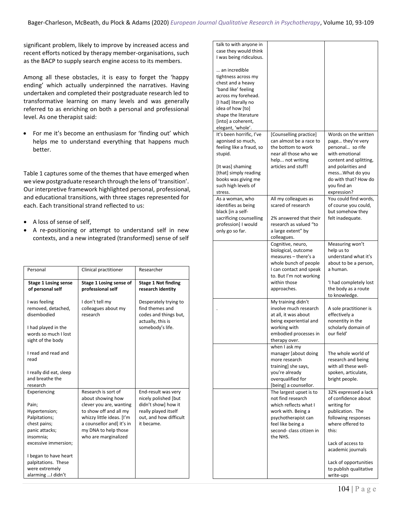significant problem, likely to improve by increased access and recent efforts noticed by therapy member-organisations, such as the BACP to supply search engine access to its members.

Among all these obstacles, it is easy to forget the 'happy ending' which actually underpinned the narratives. Having undertaken and completed their postgraduate research led to transformative learning on many levels and was generally referred to as enriching on both a personal and professional level. As one therapist said:

• For me it's become an enthusiasm for 'finding out' which helps me to understand everything that happens much better.

Table 1 captures some of the themes that have emerged when we view postgraduate research through the lens of 'transition'. Our interpretive framework highlighted personal, professional, and educational transitions, with three stages represented for each. Each transitional strand reflected to us:

- A loss of sense of self,
- A re-positioning or attempt to understand self in new contexts, and a new integrated (transformed) sense of self

| Personal                                                                                                                       | Clinical practitioner                                                                                                                                                                                   | Researcher                                                                                                                         |
|--------------------------------------------------------------------------------------------------------------------------------|---------------------------------------------------------------------------------------------------------------------------------------------------------------------------------------------------------|------------------------------------------------------------------------------------------------------------------------------------|
| <b>Stage 1 Losing sense</b><br>of personal self                                                                                | Stage 1 Losing sense of<br>professional self                                                                                                                                                            | <b>Stage 1 Not finding</b><br>research identity                                                                                    |
| I was feeling<br>removed, detached,<br>disembodied<br>I had played in the<br>words so much I lost<br>sight of the body         | I don't tell my<br>colleagues about my<br>research                                                                                                                                                      | Desperately trying to<br>find themes and<br>codes and things but,<br>actually, this is<br>somebody's life.                         |
| I read and read and<br>read                                                                                                    |                                                                                                                                                                                                         |                                                                                                                                    |
| I really did eat, sleep<br>and breathe the<br>research                                                                         |                                                                                                                                                                                                         |                                                                                                                                    |
| Experiencing<br>Pain;<br>Hypertension;<br>Palpitations;<br>chest pains;<br>panic attacks;<br>insomnia:<br>excessive immersion; | Research is sort of<br>about showing how<br>clever you are, wanting<br>to show off and all my<br>whizzy little ideas. [I'm<br>a counsellor and] it's in<br>my DNA to help those<br>who are marginalized | End-result was very<br>nicely polished [but<br>didn't show] how it<br>really played itself<br>out, and how difficult<br>it became. |
| I began to have heart<br>palpitations. These<br>were extremely<br>alarming  I didn't                                           |                                                                                                                                                                                                         |                                                                                                                                    |

| talk to with anyone in<br>case they would think<br>I was being ridiculous. |                                                  |                                               |
|----------------------------------------------------------------------------|--------------------------------------------------|-----------------------------------------------|
| an incredible<br>tightness across my                                       |                                                  |                                               |
| chest and a heavy                                                          |                                                  |                                               |
| 'band like' feeling<br>across my forehead.                                 |                                                  |                                               |
| [I had] literally no                                                       |                                                  |                                               |
| idea of how [to]<br>shape the literature                                   |                                                  |                                               |
| [into] a coherent,                                                         |                                                  |                                               |
| elegant, 'whole'.<br>It's been horrific, I've                              | [Counselling practice]                           | Words on the written                          |
| agonised so much,                                                          | can almost be a race to                          | page they're very                             |
| feeling like a fraud, so<br>stupid.                                        | the bottom to work<br>near all those who we      | personal so rife<br>with emotional            |
|                                                                            | help not writing                                 | content and splitting,                        |
| [It was] shaming<br>[that] simply reading                                  | articles and stuff!                              | and polarities and<br>messWhat do you         |
| books was giving me                                                        |                                                  | do with that? How do                          |
| such high levels of<br>stress.                                             |                                                  | you find an<br>expression?                    |
| As a woman, who                                                            | All my colleagues as<br>scared of research       | You could find words,                         |
| identifies as being<br>black [in a self-                                   |                                                  | of course you could,<br>but somehow they      |
| sacrificing counselling                                                    | 2% answered that their<br>research as valued "to | felt inadequate.                              |
| profession] I would<br>only go so far.                                     | a large extent" by                               |                                               |
|                                                                            | colleagues.<br>Cognitive, neuro,                 |                                               |
|                                                                            | biological, outcome                              | Measuring won't<br>help us to                 |
|                                                                            | measures - there's a<br>whole bunch of people    | understand what it's<br>about to be a person, |
|                                                                            | I can contact and speak                          | a human.                                      |
|                                                                            | to. But I'm not working<br>within those          | 'I had completely lost                        |
|                                                                            | approaches.                                      | the body as a route                           |
|                                                                            | My training didn't                               | to knowledge.                                 |
|                                                                            | involve much research                            | A sole practitioner is                        |
|                                                                            | at all, it was about<br>being experiential and   | effectively a<br>nonentity in the             |
|                                                                            | working with                                     | scholarly domain of                           |
|                                                                            | embodied processes in<br>therapy over.           | our field'                                    |
|                                                                            | when I ask my<br>manager [about doing            | The whole world of                            |
|                                                                            | more research                                    | research and being                            |
|                                                                            | training] she says,<br>you're already            | with all these well-<br>spoken, articulate,   |
|                                                                            | overqualified for                                | bright people.                                |
|                                                                            | [being] a counsellor.<br>The largest upset is to | 32% expressed a lack                          |
|                                                                            | not find research                                | of confidence about                           |
|                                                                            | which reflects what I<br>work with. Being a      | writing for<br>publication. The               |
|                                                                            | psychotherapist can                              | following responses                           |
|                                                                            | feel like being a<br>second- class citizen in    | where offered to<br>this:                     |
|                                                                            | the NHS.                                         | Lack of access to                             |
|                                                                            |                                                  | academic journals                             |
|                                                                            |                                                  | Lack of opportunities                         |
|                                                                            |                                                  | to publish qualitative                        |
|                                                                            |                                                  | write-ups                                     |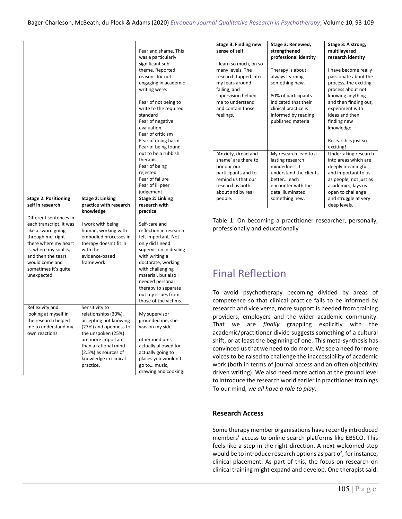|                                                 |                                          | Fear and shame. This<br>was a particularly<br>significant sub-<br>theme. Reported<br>reasons for not<br>engaging in academic<br>writing were:                                                                                                     |
|-------------------------------------------------|------------------------------------------|---------------------------------------------------------------------------------------------------------------------------------------------------------------------------------------------------------------------------------------------------|
|                                                 |                                          | Fear of not being to<br>write to the required<br>standard<br>Fear of negative<br>evaluation<br>Fear of criticism<br>Fear of doing harm<br>Fear of being found<br>out to be a rubbish<br>therapist<br>Fear of being<br>rejected<br>Fear of failure |
|                                                 |                                          | Fear of ill peer                                                                                                                                                                                                                                  |
|                                                 |                                          | judgement.                                                                                                                                                                                                                                        |
| <b>Stage 2: Positioning</b><br>self in research | Stage 2: Linking                         | <b>Stage 2: Linking</b>                                                                                                                                                                                                                           |
|                                                 | practice with research                   | research with                                                                                                                                                                                                                                     |
|                                                 | knowledge                                | practice                                                                                                                                                                                                                                          |
|                                                 |                                          |                                                                                                                                                                                                                                                   |
| Different sentences in                          |                                          |                                                                                                                                                                                                                                                   |
| each transcript, it was                         | I work with being                        | Self-care and                                                                                                                                                                                                                                     |
| like a sword going                              | human, working with                      | reflection in research                                                                                                                                                                                                                            |
| through me, right                               | embodied processes in                    | felt important. Not                                                                                                                                                                                                                               |
| there where my heart<br>is, where my soul is,   | therapy doesn't fit in<br>with the       | only did I need<br>supervision in dealing                                                                                                                                                                                                         |
| and then the tears                              | evidence-based                           | with writing a                                                                                                                                                                                                                                    |
| would come and                                  | framework                                | doctorate, working                                                                                                                                                                                                                                |
| sometimes it's quite                            |                                          | with challenging                                                                                                                                                                                                                                  |
| unexpected.                                     |                                          | material, but also I                                                                                                                                                                                                                              |
|                                                 |                                          | needed personal                                                                                                                                                                                                                                   |
|                                                 |                                          | therapy to separate                                                                                                                                                                                                                               |
|                                                 |                                          | out my issues from                                                                                                                                                                                                                                |
|                                                 |                                          | those of the victims.                                                                                                                                                                                                                             |
| Reflexivity and                                 | Sensitivity to                           |                                                                                                                                                                                                                                                   |
| looking at myself in                            | relationships (30%),                     | My supervisor                                                                                                                                                                                                                                     |
| the research helped                             | accepting not knowing                    | grounded me, she                                                                                                                                                                                                                                  |
| me to understand my<br>own reactions            | (27%) and openness to                    | was on my side                                                                                                                                                                                                                                    |
|                                                 | the unspoken (25%)<br>are more important | other mediums                                                                                                                                                                                                                                     |
|                                                 | than a rational mind                     | actually allowed for                                                                                                                                                                                                                              |
|                                                 | (2.5%) as sources of                     | actually going to                                                                                                                                                                                                                                 |
|                                                 | knowledge in clinical                    | places you wouldn't                                                                                                                                                                                                                               |
|                                                 | practice.                                | go to music,<br>drawing and cooking.                                                                                                                                                                                                              |

| Stage 3: Finding new                                                     | Stage 3: Renewed,                                                                                                | Stage 3: A strong,                                                                            |
|--------------------------------------------------------------------------|------------------------------------------------------------------------------------------------------------------|-----------------------------------------------------------------------------------------------|
| sense of self                                                            | strengthened                                                                                                     | multilayered                                                                                  |
|                                                                          | professional identity                                                                                            | research identity                                                                             |
| I learn so much, on so<br>many levels. The                               | Therapy is about                                                                                                 | I have become really                                                                          |
| research tapped into<br>my fears around<br>failing, and                  | always learning<br>something new.                                                                                | passionate about the<br>process, the exciting<br>process about not                            |
| supervision helped<br>me to understand<br>and contain those<br>feelings. | 80% of participants<br>indicated that their<br>clinical practice is<br>informed by reading<br>published material | knowing anything<br>and then finding out,<br>experiment with<br>ideas and then<br>finding new |
|                                                                          |                                                                                                                  | knowledge.<br>Research is just so<br>exciting!                                                |
| 'Anxiety, dread and                                                      | My research lead to a                                                                                            | Undertaking research                                                                          |
| shame' are there to                                                      | lasting research                                                                                                 | into areas which are                                                                          |
| honour our                                                               | mindedness, I                                                                                                    | deeply meaningful                                                                             |
| participants and to                                                      | understand the clients                                                                                           | and important to us                                                                           |
| remind us that our                                                       | better each                                                                                                      | as people, not just as                                                                        |
| research is both                                                         | encounter with the<br>data illuminated                                                                           | academics, lays us                                                                            |
| about and by real                                                        |                                                                                                                  | open to challenge                                                                             |
| people.                                                                  | something new.                                                                                                   | and struggle at very<br>deep levels.                                                          |

Table 1: On becoming a practitioner researcher, personally, professionally and educationally

## Final Reflection

To avoid psychotherapy becoming divided by areas of competence so that clinical practice fails to be informed by research and vice versa, more support is needed from training providers, employers and the wider academic community. That we are *finally* grappling explicitly with the academic/practitioner divide suggests something of a cultural shift, or at least the beginning of one. This meta-synthesis has convinced us that we need to do more. We see a need for more voices to be raised to challenge the inaccessibility of academic work (both in terms of journal access and an often objectivity driven writing). We also need more action at the ground level to introduce the research world earlier in practitioner trainings. To our mind, *we all have a role to play*.

### **Research Access**

Some therapy member organisations have recently introduced members' access to online search platforms like EBSCO. This feels like a step in the right direction. A next welcomed step would be to introduce research options as part of, for instance, clinical placement. As part of this, the focus on research on clinical training might expand and develop. One therapist said: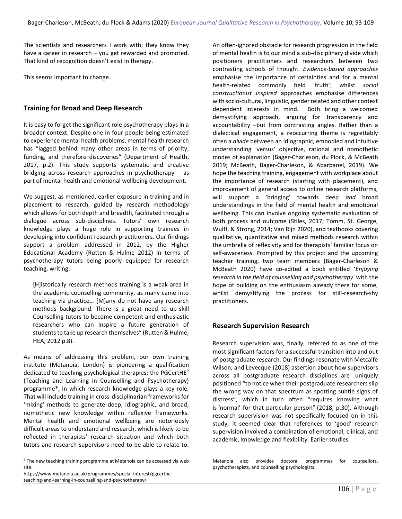The scientists and researchers I work with; they know they have a career in research – you get rewarded and promoted. That kind of recognition doesn't exist in therapy.

This seems important to change.

### **Training for Broad and Deep Research**

It is easy to forget the significant role psychotherapy plays in a broader context. Despite one in four people being estimated to experience mental health problems, mental health research has "lagged behind many other areas in terms of priority, funding, and therefore discoveries" (Department of Health, 2017, p.2). This study supports systematic and creative bridging across research approaches in psychotherapy – as part of mental health and emotional wellbeing development.

We suggest, as mentioned, earlier exposure in training and in placement to research, guided by research methodology which allows for both depth and breadth, facilitated through a dialogue across sub-disciplines. Tutors' own research knowledge plays a huge role in supporting trainees in developing into confident research practitioners. Our findings support a problem addressed in 2012, by the Higher Educational Academy (Rutten & Hulme 2012) in terms of psychotherapy tutors being poorly equipped for research teaching, writing:

[H]istorically research methods training is a weak area in the academic counselling community, as many came into teaching via practice… [M]any do not have any research methods background. There is a great need to up-skill Counselling tutors to become competent and enthusiastic researchers who can inspire a future generation of students to take up research themselves" (Rutten & Hulme, HEA, 2012 p.8).

As means of addressing this problem, our own training institute (Metanoia, London) is pioneering a qualification dedicated to teaching psychological therapies; the PGCertHE<sup>2</sup> (Teaching and Learning in Counselling and Psychotherapy) programme\*, in which research knowledge plays a key role. That will include training in cross-disciplinarian frameworks for 'mixing' methods to generate deep, idiographic, and broad, nomothetic new knowledge within reflexive frameworks. Mental health and emotional wellbeing are notoriously difficult areas to understand and research, which is likely to be reflected in therapists' research situation and which both tutors and research supervisors need to be able to relate to. An often-ignored obstacle for research progression in the field of mental health is to our mind a sub-disciplinary divide which positioners practitioners and researchers between two contrasting schools of thought. *Evidence-based approaches* emphasise the importance of certainties and for a mental health-related commonly held 'truth'; whilst *social constructionist inspired* approaches emphasise differences with socio-cultural, linguistic, gender related and other context dependent interests in mind. Both bring a welcomed demystifying approach, arguing for transparency and accountability –but from contrasting angles. Rather than a dialectical engagement, a reoccurring theme is regrettably often a *divide* between an idiographic, embodied and intuitive understanding 'versus' objective, rational and nomothetic modes of explanation (Bager-Charleson, du Plock, & McBeath 2019; McBeath, Bager-Charleson, & Abarbanel, 2019). We hope the teaching training, engagement with workplace about the importance of research (starting with placement), and improvement of general access to online research platforms, will support a 'bridging' towards deep *and* broad understandings in the field of mental health and emotional wellbeing. This can involve ongoing systematic evaluation of both process and outcome (Stiles, 2017; Tomm, St. George, Wulff, & Strong, 2014; Van Rijn 2020), and textbooks covering qualitative, quantitative and mixed methods research within the umbrella of reflexivity and for therapists' familiar focus on self-awareness. Prompted by this project and the upcoming teacher training, two team members (Bager-Charleson & McBeath 2020) have co-edited a book entitled '*Enjoying research in the field of counselling and psychotherapy*' with the hope of building on the enthusiasm already there for some, whilst demystifying the process for still-research-shy practitioners.

### **Research Supervision Research**

Research supervision was, finally, referred to as one of the most significant factors for a successful transition into and out of postgraduate research. Our findings resonate with Metcalfe Wilson, and Levecque (2018) assertion about how supervisors across all postgraduate research disciplines are uniquely positioned "to notice when their postgraduate researchers slip the wrong way on that spectrum as spotting subtle signs of distress", which in turn often "requires knowing what is 'normal' for that particular person" (2018, p.30). Although research supervision was not specifically focused on in this study, it seemed clear that references to 'good' research supervision involved a combination of emotional, clinical, and academic, knowledge and flexibility. Earlier studies

Metanoia also provides doctoral programmes for counsellors, psychotherapists, and counselling psychologists.

 $^2$  The new teaching training programme at Metanoia can be accessed via web site:

https://www.metanoia.ac.uk/programmes/special-interest/pgcertheteaching-and-learning-in-counselling-and-psychotherapy/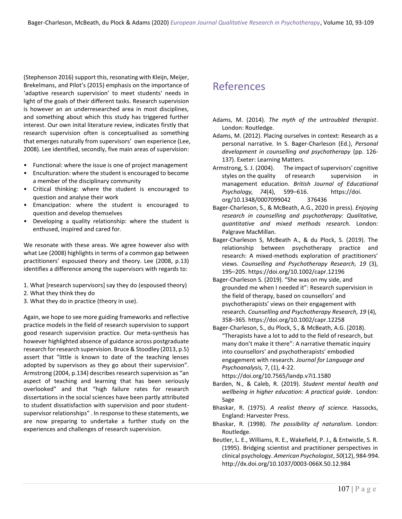(Stephenson 2016) support this, resonating with Kleijn, Meijer, Brekelmans, and Pilot's (2015) emphasis on the importance of 'adaptive research supervision' to meet students' needs in light of the goals of their different tasks. Research supervision is however an an underresearched area in most disciplines, and something about which this study has triggered further interest. Our own inital literature review, indicates firstly that research supervision often is conceptualised as something that emerges naturally from supervisors' own experience (Lee, 2008). Lee identified, secondly, five main areas of supervision:

- Functional: where the issue is one of project management
- Enculturation: where the student is encouraged to become a member of the disciplinary community
- Critical thinking: where the student is encouraged to question and analyse their work
- Emancipation: where the student is encouraged to question and develop themselves
- Developing a quality relationship: where the student is enthused, inspired and cared for.

We resonate with these areas. We agree however also with what Lee (2008) highlights in terms of a common gap between practitioners' espoused theory and theory. Lee (2008, p.13) identifies a difference among the supervisors with regards to:

- 1. What [research supervisors] say they do (espoused theory)
- 2. What they think they do
- 3. What they do in practice (theory in use).

Again, we hope to see more guiding frameworks and reflective practice models in the field of research supervision to support good research supervision practice. Our meta-synthesis has however highlighted absence of guidance across postgraduate research for research supervision. Bruce & Stoodley (2013, p.5) assert that "little is known to date of the teaching lenses adopted by supervisors as they go about their supervision". Armstrong (2004, p.134) describes research supervision as "an aspect of teaching and learning that has been seriously overlooked" and that "high failure rates for research dissertations in the social sciences have been partly attributed to student dissatisfaction with supervision and poor studentsupervisor relationships" . In response to these statements, we are now preparing to undertake a further study on the experiences and challenges of research supervision.

## References

- Adams, M. (2014). *The myth of the untroubled therapist*. London: Routledge.
- Adams, M. (2012). Placing ourselves in context: Research as a personal narrative. In S. Bager-Charleson (Ed.), *Personal development in counselling and psychotherapy* (pp. 126- 137). Exeter: Learning Matters.
- Armstrong, S. J. (2004). The impact of supervisors' cognitive styles on the quality of research supervision in management education. *British Journal of Educational Psychology, 74*(4), 599–616. https://doi. org/10.1348/0007099042 376436
- Bager-Charleson, S., & McBeath, A.G., 2020 in press). *Enjoying research in counselling and psychotherapy: Qualitative, quantitative and mixed methods research.* London: Palgrave MacMillan.
- Bager-Charleson S, McBeath A., & du Plock, S. (2019). The relationship between psychotherapy practice and research: A mixed-methods exploration of practitioners' views. *Counselling and Psychotherapy Research, 19* (3), 195–205. https://doi.org/10.1002/capr.12196
- Bager-Charleson S. (2019). "She was on my side, and grounded me when I needed it": Research supervision in the field of therapy, based on counsellors' and psychotherapists' views on their engagement with research. *Counselling and Psychotherapy Research, 19* (4), 358–365. https://doi.org/10.1002/capr.12258
- Bager-Charleson, S., du Plock, S., & McBeath, A.G. (2018). "Therapists have a lot to add to the field of research, but many don't make it there": A narrative thematic inquiry into counsellors' and psychotherapists' embodied engagement with research*. Journal for Language and Psychoanalysis,* 7, (1), 4-22.

https://doi.org/10.7565/landp.v7i1.1580

- Barden, N., & Caleb, R. (2019). *Student mental health and wellbeing in higher education: A practical guide*. London: Sage
- Bhaskar, R. (1975). *A realist theory of science.* Hassocks, England: Harvester Press.
- Bhaskar, R. (1998). *The possibility of naturalism*. London: Routledge.
- Beutler, L. E., Williams, R. E., Wakefield, P. J., & Entwistle, S. R. (1995). Bridging scientist and practitioner perspectives in clinical psychology. *American Psychologist*, *50*(12), 984-994. http://dx.doi.org/10.1037/0003-066X.50.12.984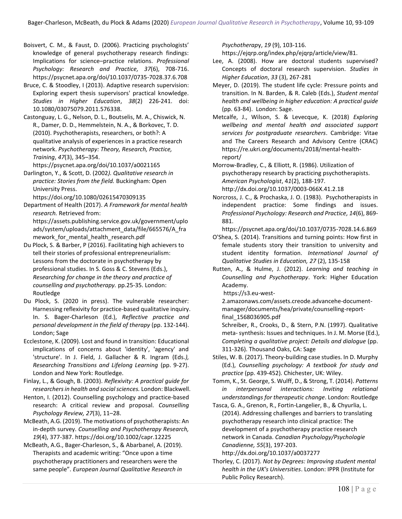- Boisvert, C. M., & Faust, D. (2006). Practicing psychologists' knowledge of general psychotherapy research findings: Implications for science–practice relations. *Professional Psychology: Research and Practice, 37*(6), 708-716. https://psycnet.apa.org/doi/10.1037/0735-7028.37.6.708
- Bruce, C. & Stoodley, I (2013). Adaptive research supervision: Exploring expert thesis supervisors' practical knowledge. *Studies in Higher Education*, *38*(2) 226-241. doi: 10.1080/03075079.2011.576338.
- Castonguay, L. G., Nelson, D. L., Boutselis, M. A., Chiswick, N. R., Damer, D. D., Hemmelstein, N. A., & Borkovec, T. D. (2010). Psychotherapists, researchers, or both?: A qualitative analysis of experiences in a practice research network. *Psychotherapy: Theory, Research, Practice, Training*, *47*(3), 345–354.

https://psycnet.apa.org/doi/10.1037/a0021165

Darlington, Y., & Scott, D. (2002*). Qualitative research in practice: Stories from the field.* Buckingham: Open University Press.

https://doi.org/10.1080/02615470309135

Department of Health (2017). *A Framework for mental health research.* Retrieved from: https://assets.publishing.service.gov.uk/government/uplo

ads/system/uploads/attachment\_data/file/665576/A\_fra mework for mental health research.pdf

Du Plock, S. & Barber, P (2016). Facilitating high achievers to tell their stories of professional entrepreneurialism: Lessons from the doctorate in psychotherapy by professional studies. In S. Goss & C. Stevens (Eds.), *Researching for change in the theory and practice of counselling and psychotherapy.* pp.25-35. London: Routledge

- Du Plock, S. (2020 in press). The vulnerable researcher: Harnessing reflexivity for practice-based qualitative inquiry. In. S. Bager-Charleson (Ed.), *Reflective practice and personal development in the field of therapy* (pp. 132-144). London; Sage
- Ecclestone, K. (2009). Lost and found in transition: Educational implications of concerns about 'identity', 'agency' and 'structure'. In J. Field, J. Gallacher & R. Ingram (Eds*.), Researching Transitions and Lifelong Learning* (pp. 9-27). London and New York: Routledge.

Finlay, L., & Gough, B. (2003). *Reflexivity: A practical guide for researchers in health and social sciences.* London: Blackwell.

Henton, I. (2012). Counselling psychology and practice-based research: A critical review and proposal. *Counselling Psychology Review, 27*(3), 11–28.

McBeath, A.G. (2019). The motivations of psychotherapists: An in-depth survey. *Counselling and Psychotherapy Research, 19*(4), 377-387. https://doi.org/10.1002/capr.12225

McBeath, A.G., Bager-Charleson, S., & Abarbanel, A. (2019). Therapists and academic writing: "Once upon a time psychotherapy practitioners and researchers were the same people". *European Journal Qualitative Research in* 

*Psychotherap*y, *19* (9), 103-116.

https://ejqrp.org/index.php/ejqrp/article/view/81.

- Lee, A. (2008). How are doctoral students supervised? Concepts of doctoral research supervision. *Studies in Higher Education*, *33* (3), 267-281
- Meyer, D. (2019). The student life cycle: Pressure points and transition. In N. Barden, & R. Caleb (Eds.), *Student mental health and wellbeing in higher education: A practical guide*  (pp. 63-84). London: Sage.
- Metcalfe, J., Wilson, S. & Levecque, K. (2018) *Exploring wellbeing and mental health and associated support services for postgraduate researchers*. Cambridge: Vitae and The Careers Research and Advisory Centre (CRAC) https://re.ukri.org/documents/2018/mental-healthreport/

Morrow-Bradley, C., & Elliott, R. (1986). Utilization of psychotherapy research by practicing psychotherapists. *American Psychologist*, 4*1*(2), 188-197. http://dx.doi.org/10.1037/0003-066X.41.2.18

Norcross, J. C., & Prochaska, J. O. (1983). Psychotherapists in independent practice: Some findings and issues. *Professional Psychology: Research and Practice, 14*(6), 869- 881.

https://psycnet.apa.org/doi/10.1037/0735-7028.14.6.869

- O'Shea, S. (2014). Transitions and turning points: How first in female students story their transition to university and student identity formation. *International Journal of Qualitative Studies in Education, 27* (2), 135-158
- Rutten, A., & Hulme, J. (2012). *Learning and teaching in Counselling and Psychotherapy*. York: Higher Education Academy.

https://s3.eu-west-

2.amazonaws.com/assets.creode.advancehe-documentmanager/documents/hea/private/counselling-reportfinal\_1568036905.pdf

Schreiber, R., Crooks, D., & Stern, P.N. (1997). Qualitative meta-synthesis: Issues and techniques. In J. M. Morse (Ed.), *Completing a qualitative project: Details and dialogue* (pp. 311-326). Thousand Oaks, CA: Sage

Stiles, W. B. (2017). Theory-building case studies. In D. Murphy (Ed.), *Counselling psychology: A textbook for study and practice* (pp. 439-452). Chichester, UK: Wiley.

Tomm, K., St. George, S. Wulff, D., & Strong, T. (2014). *Patterns in interpersonal interactions: Inviting relational understandings for therapeutic change*. London: Routledge

- Tasca, G. A., Grenon, R., Fortin-Langelier, B., & Chyurlia, L. (2014). Addressing challenges and barriers to translating psychotherapy research into clinical practice: The development of a psychotherapy practice research network in Canada. *Canadian Psychology/Psychologie Canadienne, 55*(3), 197-203. http://dx.doi.org/10.1037/a0037277
- Thorley, C. (2017). *Not by Degrees: Improving student mental health in the UK's Universities*. London: IPPR (Institute for Public Policy Research).